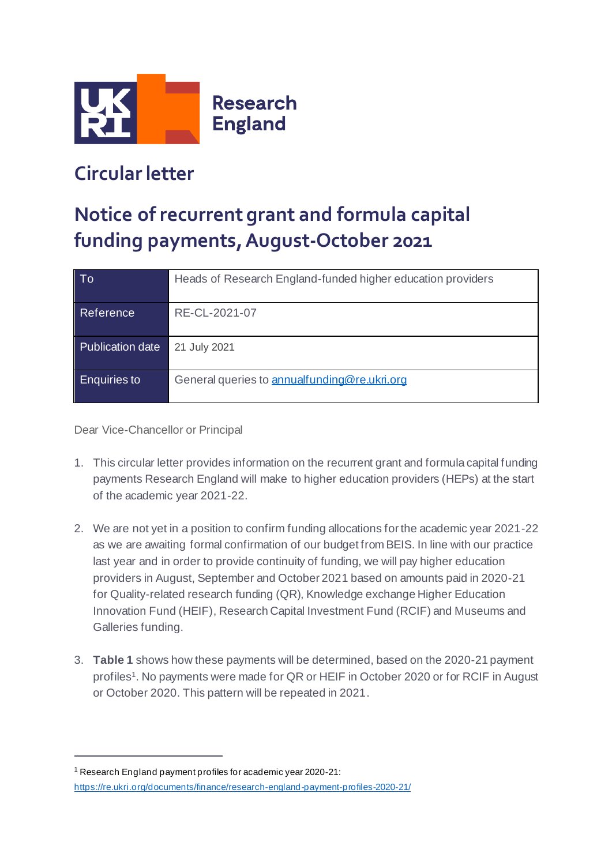

## **Circular letter**

## **Notice of recurrent grant and formula capital funding payments,August-October 2021**

| To                  | Heads of Research England-funded higher education providers |
|---------------------|-------------------------------------------------------------|
| Reference           | RE-CL-2021-07                                               |
| Publication date    | 21 July 2021                                                |
| <b>Enquiries to</b> | General queries to annualfunding@re.ukri.org                |

Dear Vice-Chancellor or Principal

- 1. This circular letter provides information on the recurrent grant and formula capital funding payments Research England will make to higher education providers (HEPs) at the start of the academic year 2021-22.
- 2. We are not yet in a position to confirm funding allocations for the academic year 2021-22 as we are awaiting formal confirmation of our budget from BEIS. In line with our practice last year and in order to provide continuity of funding, we will pay higher education providers in August, September and October 2021 based on amounts paid in 2020-21 for Quality-related research funding (QR), Knowledge exchange Higher Education Innovation Fund (HEIF), Research Capital Investment Fund (RCIF) and Museums and Galleries funding.
- 3. **Table 1** shows how these payments will be determined, based on the 2020-21 payment profiles<sup>1</sup>. No payments were made for QR or HEIF in October 2020 or for RCIF in August or October 2020. This pattern will be repeated in 2021.

<sup>1</sup> Research England payment profiles for academic year 2020-21: <https://re.ukri.org/documents/finance/research-england-payment-profiles-2020-21/>